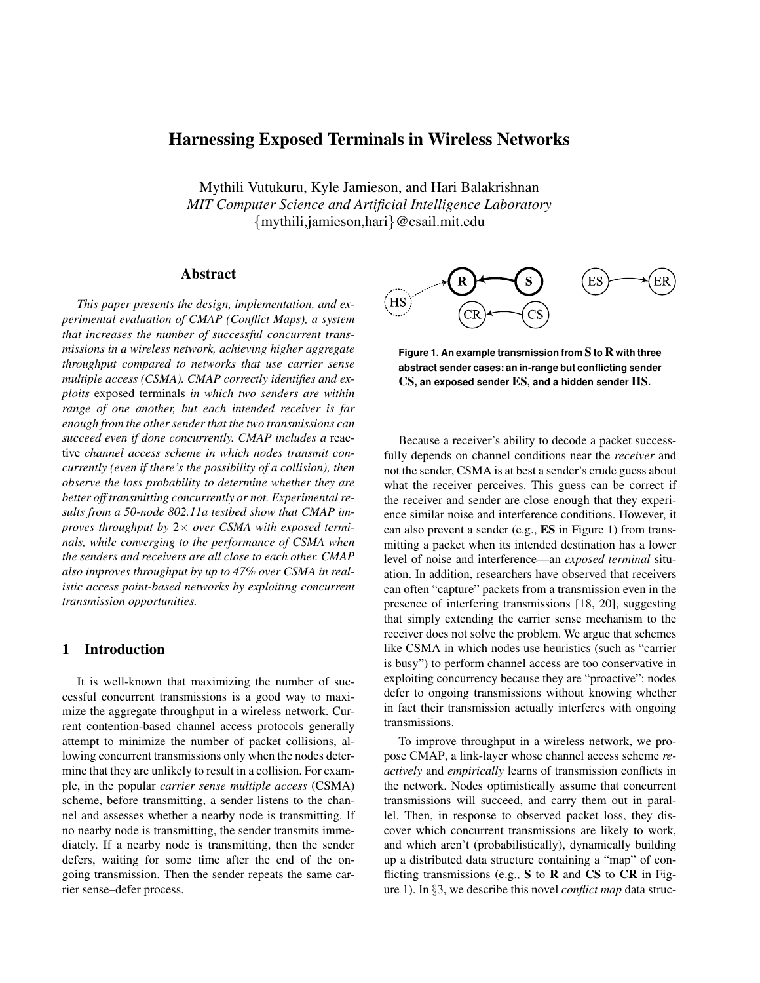# Harnessing Exposed Terminals in Wireless Networks

Mythili Vutukuru, Kyle Jamieson, and Hari Balakrishnan *MIT Computer Science and Artificial Intelligence Laboratory* {mythili,jamieson,hari}@csail.mit.edu

## Abstract

*This paper presents the design, implementation, and experimental evaluation of CMAP (Conflict Maps), a system that increases the number of successful concurrent transmissions in a wireless network, achieving higher aggregate throughput compared to networks that use carrier sense multiple access (CSMA). CMAP correctly identifies and exploits* exposed terminals *in which two senders are within range of one another, but each intended receiver is far enough from the other sender that the two transmissions can succeed even if done concurrently. CMAP includes a* reactive *channel access scheme in which nodes transmit concurrently (even if there's the possibility of a collision), then observe the loss probability to determine whether they are better off transmitting concurrently or not. Experimental results from a 50-node 802.11a testbed show that CMAP improves throughput by* 2× *over CSMA with exposed terminals, while converging to the performance of CSMA when the senders and receivers are all close to each other. CMAP also improves throughput by up to 47% over CSMA in realistic access point-based networks by exploiting concurrent transmission opportunities.*

# 1 Introduction

It is well-known that maximizing the number of successful concurrent transmissions is a good way to maximize the aggregate throughput in a wireless network. Current contention-based channel access protocols generally attempt to minimize the number of packet collisions, allowing concurrent transmissions only when the nodes determine that they are unlikely to result in a collision. For example, in the popular *carrier sense multiple access* (CSMA) scheme, before transmitting, a sender listens to the channel and assesses whether a nearby node is transmitting. If no nearby node is transmitting, the sender transmits immediately. If a nearby node is transmitting, then the sender defers, waiting for some time after the end of the ongoing transmission. Then the sender repeats the same carrier sense–defer process.



**Figure 1. An example transmission from** S **to** R **with three abstract sender cases: an in-range but conflicting sender** CS**, an exposed sender** ES**, and a hidden sender** HS**.**

Because a receiver's ability to decode a packet successfully depends on channel conditions near the *receiver* and not the sender, CSMA is at best a sender's crude guess about what the receiver perceives. This guess can be correct if the receiver and sender are close enough that they experience similar noise and interference conditions. However, it can also prevent a sender (e.g., ES in Figure 1) from transmitting a packet when its intended destination has a lower level of noise and interference—an *exposed terminal* situation. In addition, researchers have observed that receivers can often "capture" packets from a transmission even in the presence of interfering transmissions [18, 20], suggesting that simply extending the carrier sense mechanism to the receiver does not solve the problem. We argue that schemes like CSMA in which nodes use heuristics (such as "carrier is busy") to perform channel access are too conservative in exploiting concurrency because they are "proactive": nodes defer to ongoing transmissions without knowing whether in fact their transmission actually interferes with ongoing transmissions.

To improve throughput in a wireless network, we propose CMAP, a link-layer whose channel access scheme *reactively* and *empirically* learns of transmission conflicts in the network. Nodes optimistically assume that concurrent transmissions will succeed, and carry them out in parallel. Then, in response to observed packet loss, they discover which concurrent transmissions are likely to work, and which aren't (probabilistically), dynamically building up a distributed data structure containing a "map" of conflicting transmissions (e.g.,  $S$  to  $R$  and  $CS$  to  $CR$  in Figure 1). In §3, we describe this novel *conflict map* data struc-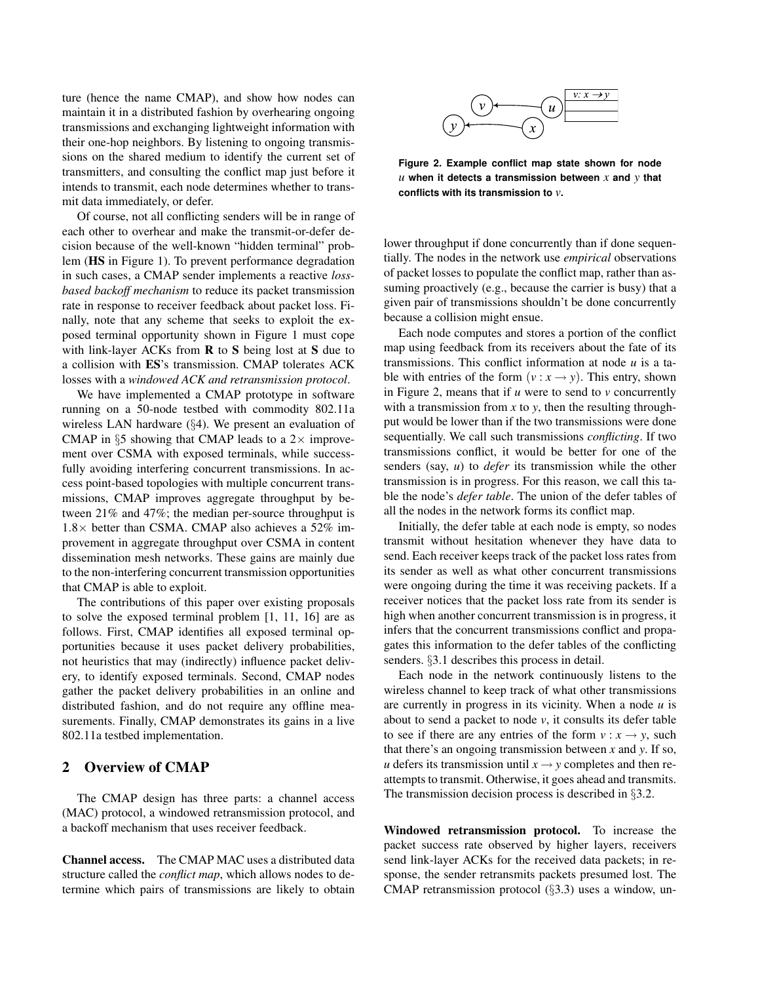ture (hence the name CMAP), and show how nodes can maintain it in a distributed fashion by overhearing ongoing transmissions and exchanging lightweight information with their one-hop neighbors. By listening to ongoing transmissions on the shared medium to identify the current set of transmitters, and consulting the conflict map just before it intends to transmit, each node determines whether to transmit data immediately, or defer.

Of course, not all conflicting senders will be in range of each other to overhear and make the transmit-or-defer decision because of the well-known "hidden terminal" problem (HS in Figure 1). To prevent performance degradation in such cases, a CMAP sender implements a reactive *lossbased backoff mechanism* to reduce its packet transmission rate in response to receiver feedback about packet loss. Finally, note that any scheme that seeks to exploit the exposed terminal opportunity shown in Figure 1 must cope with link-layer ACKs from  $\bf{R}$  to  $\bf{S}$  being lost at  $\bf{S}$  due to a collision with ES's transmission. CMAP tolerates ACK losses with a *windowed ACK and retransmission protocol*.

We have implemented a CMAP prototype in software running on a 50-node testbed with commodity 802.11a wireless LAN hardware (§4). We present an evaluation of CMAP in  $\S 5$  showing that CMAP leads to a 2 $\times$  improvement over CSMA with exposed terminals, while successfully avoiding interfering concurrent transmissions. In access point-based topologies with multiple concurrent transmissions, CMAP improves aggregate throughput by between 21% and 47%; the median per-source throughput is  $1.8\times$  better than CSMA. CMAP also achieves a 52% improvement in aggregate throughput over CSMA in content dissemination mesh networks. These gains are mainly due to the non-interfering concurrent transmission opportunities that CMAP is able to exploit.

The contributions of this paper over existing proposals to solve the exposed terminal problem [1, 11, 16] are as follows. First, CMAP identifies all exposed terminal opportunities because it uses packet delivery probabilities, not heuristics that may (indirectly) influence packet delivery, to identify exposed terminals. Second, CMAP nodes gather the packet delivery probabilities in an online and distributed fashion, and do not require any offline measurements. Finally, CMAP demonstrates its gains in a live 802.11a testbed implementation.

# 2 Overview of CMAP

The CMAP design has three parts: a channel access (MAC) protocol, a windowed retransmission protocol, and a backoff mechanism that uses receiver feedback.

Channel access. The CMAP MAC uses a distributed data structure called the *conflict map*, which allows nodes to determine which pairs of transmissions are likely to obtain



**Figure 2. Example conflict map state shown for node** *u* **when it detects a transmission between** *x* **and** *y* **that conflicts with its transmission to** *v***.**

lower throughput if done concurrently than if done sequentially. The nodes in the network use *empirical* observations of packet losses to populate the conflict map, rather than assuming proactively (e.g., because the carrier is busy) that a given pair of transmissions shouldn't be done concurrently because a collision might ensue.

Each node computes and stores a portion of the conflict map using feedback from its receivers about the fate of its transmissions. This conflict information at node *u* is a table with entries of the form  $(v : x \rightarrow y)$ . This entry, shown in Figure 2, means that if *u* were to send to *v* concurrently with a transmission from *x* to *y*, then the resulting throughput would be lower than if the two transmissions were done sequentially. We call such transmissions *conflicting*. If two transmissions conflict, it would be better for one of the senders (say, *u*) to *defer* its transmission while the other transmission is in progress. For this reason, we call this table the node's *defer table*. The union of the defer tables of all the nodes in the network forms its conflict map.

Initially, the defer table at each node is empty, so nodes transmit without hesitation whenever they have data to send. Each receiver keeps track of the packet loss rates from its sender as well as what other concurrent transmissions were ongoing during the time it was receiving packets. If a receiver notices that the packet loss rate from its sender is high when another concurrent transmission is in progress, it infers that the concurrent transmissions conflict and propagates this information to the defer tables of the conflicting senders. §3.1 describes this process in detail.

Each node in the network continuously listens to the wireless channel to keep track of what other transmissions are currently in progress in its vicinity. When a node *u* is about to send a packet to node  $v$ , it consults its defer table to see if there are any entries of the form  $v : x \rightarrow y$ , such that there's an ongoing transmission between *x* and *y*. If so, *u* defers its transmission until  $x \rightarrow y$  completes and then reattempts to transmit. Otherwise, it goes ahead and transmits. The transmission decision process is described in §3.2.

Windowed retransmission protocol. To increase the packet success rate observed by higher layers, receivers send link-layer ACKs for the received data packets; in response, the sender retransmits packets presumed lost. The CMAP retransmission protocol (§3.3) uses a window, un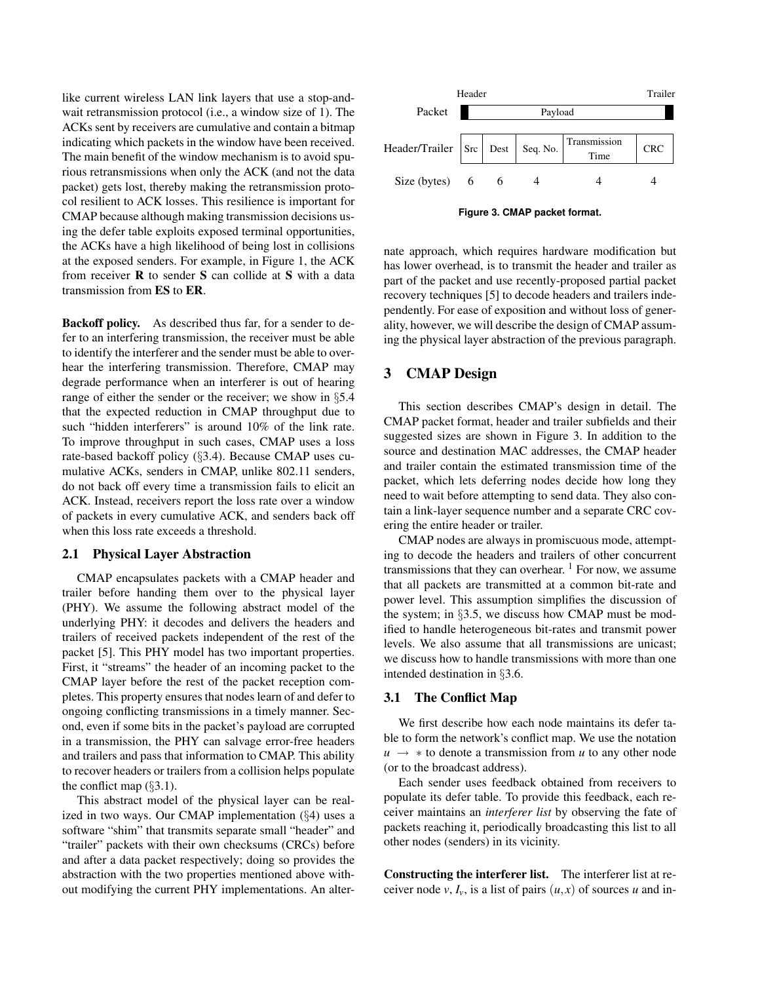like current wireless LAN link layers that use a stop-andwait retransmission protocol (i.e., a window size of 1). The ACKs sent by receivers are cumulative and contain a bitmap indicating which packets in the window have been received. The main benefit of the window mechanism is to avoid spurious retransmissions when only the ACK (and not the data packet) gets lost, thereby making the retransmission protocol resilient to ACK losses. This resilience is important for CMAP because although making transmission decisions using the defer table exploits exposed terminal opportunities, the ACKs have a high likelihood of being lost in collisions at the exposed senders. For example, in Figure 1, the ACK from receiver R to sender S can collide at S with a data transmission from ES to ER.

Backoff policy. As described thus far, for a sender to defer to an interfering transmission, the receiver must be able to identify the interferer and the sender must be able to overhear the interfering transmission. Therefore, CMAP may degrade performance when an interferer is out of hearing range of either the sender or the receiver; we show in §5.4 that the expected reduction in CMAP throughput due to such "hidden interferers" is around 10% of the link rate. To improve throughput in such cases, CMAP uses a loss rate-based backoff policy (§3.4). Because CMAP uses cumulative ACKs, senders in CMAP, unlike 802.11 senders, do not back off every time a transmission fails to elicit an ACK. Instead, receivers report the loss rate over a window of packets in every cumulative ACK, and senders back off when this loss rate exceeds a threshold.

### 2.1 Physical Layer Abstraction

CMAP encapsulates packets with a CMAP header and trailer before handing them over to the physical layer (PHY). We assume the following abstract model of the underlying PHY: it decodes and delivers the headers and trailers of received packets independent of the rest of the packet [5]. This PHY model has two important properties. First, it "streams" the header of an incoming packet to the CMAP layer before the rest of the packet reception completes. This property ensures that nodes learn of and defer to ongoing conflicting transmissions in a timely manner. Second, even if some bits in the packet's payload are corrupted in a transmission, the PHY can salvage error-free headers and trailers and pass that information to CMAP. This ability to recover headers or trailers from a collision helps populate the conflict map  $(\S 3.1)$ .

This abstract model of the physical layer can be realized in two ways. Our CMAP implementation (§4) uses a software "shim" that transmits separate small "header" and "trailer" packets with their own checksums (CRCs) before and after a data packet respectively; doing so provides the abstraction with the two properties mentioned above without modifying the current PHY implementations. An alter-



**Figure 3. CMAP packet format.**

nate approach, which requires hardware modification but has lower overhead, is to transmit the header and trailer as part of the packet and use recently-proposed partial packet recovery techniques [5] to decode headers and trailers independently. For ease of exposition and without loss of generality, however, we will describe the design of CMAP assuming the physical layer abstraction of the previous paragraph.

## 3 CMAP Design

This section describes CMAP's design in detail. The CMAP packet format, header and trailer subfields and their suggested sizes are shown in Figure 3. In addition to the source and destination MAC addresses, the CMAP header and trailer contain the estimated transmission time of the packet, which lets deferring nodes decide how long they need to wait before attempting to send data. They also contain a link-layer sequence number and a separate CRC covering the entire header or trailer.

CMAP nodes are always in promiscuous mode, attempting to decode the headers and trailers of other concurrent transmissions that they can overhear.  $1$  For now, we assume that all packets are transmitted at a common bit-rate and power level. This assumption simplifies the discussion of the system; in §3.5, we discuss how CMAP must be modified to handle heterogeneous bit-rates and transmit power levels. We also assume that all transmissions are unicast; we discuss how to handle transmissions with more than one intended destination in §3.6.

#### 3.1 The Conflict Map

We first describe how each node maintains its defer table to form the network's conflict map. We use the notation  $u \rightarrow *$  to denote a transmission from *u* to any other node (or to the broadcast address).

Each sender uses feedback obtained from receivers to populate its defer table. To provide this feedback, each receiver maintains an *interferer list* by observing the fate of packets reaching it, periodically broadcasting this list to all other nodes (senders) in its vicinity.

Constructing the interferer list. The interferer list at receiver node  $v, I_v$ , is a list of pairs  $(u, x)$  of sources *u* and in-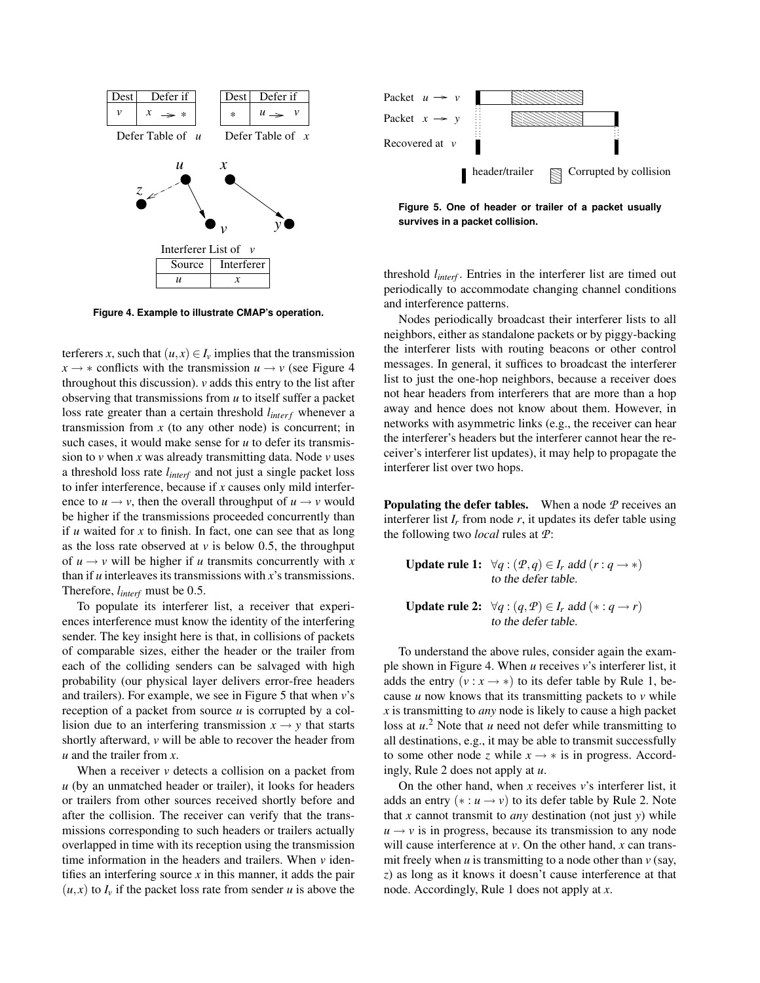

**Figure 4. Example to illustrate CMAP's operation.**

terferers *x*, such that  $(u, x) \in I_v$  implies that the transmission  $x \rightarrow *$  conflicts with the transmission  $u \rightarrow v$  (see Figure 4 throughout this discussion). *v* adds this entry to the list after observing that transmissions from *u* to itself suffer a packet loss rate greater than a certain threshold  $l_{interf}$  whenever a transmission from  $x$  (to any other node) is concurrent; in such cases, it would make sense for *u* to defer its transmission to *v* when *x* was already transmitting data. Node *v* uses a threshold loss rate *linterf* and not just a single packet loss to infer interference, because if *x* causes only mild interference to  $u \rightarrow v$ , then the overall throughput of  $u \rightarrow v$  would be higher if the transmissions proceeded concurrently than if *u* waited for *x* to finish. In fact, one can see that as long as the loss rate observed at  $\nu$  is below 0.5, the throughput of  $u \rightarrow v$  will be higher if *u* transmits concurrently with *x* than if *u* interleaves its transmissions with *x*'s transmissions. Therefore, *linterf* must be 0.5.

To populate its interferer list, a receiver that experiences interference must know the identity of the interfering sender. The key insight here is that, in collisions of packets of comparable sizes, either the header or the trailer from each of the colliding senders can be salvaged with high probability (our physical layer delivers error-free headers and trailers). For example, we see in Figure 5 that when *v*'s reception of a packet from source *u* is corrupted by a collision due to an interfering transmission  $x \rightarrow y$  that starts shortly afterward, *v* will be able to recover the header from *u* and the trailer from *x*.

When a receiver  $\nu$  detects a collision on a packet from *u* (by an unmatched header or trailer), it looks for headers or trailers from other sources received shortly before and after the collision. The receiver can verify that the transmissions corresponding to such headers or trailers actually overlapped in time with its reception using the transmission time information in the headers and trailers. When *v* identifies an interfering source  $x$  in this manner, it adds the pair  $(u, x)$  to  $I<sub>v</sub>$  if the packet loss rate from sender *u* is above the



**Figure 5. One of header or trailer of a packet usually survives in a packet collision.**

threshold *linterf* . Entries in the interferer list are timed out periodically to accommodate changing channel conditions and interference patterns.

Nodes periodically broadcast their interferer lists to all neighbors, either as standalone packets or by piggy-backing the interferer lists with routing beacons or other control messages. In general, it suffices to broadcast the interferer list to just the one-hop neighbors, because a receiver does not hear headers from interferers that are more than a hop away and hence does not know about them. However, in networks with asymmetric links (e.g., the receiver can hear the interferer's headers but the interferer cannot hear the receiver's interferer list updates), it may help to propagate the interferer list over two hops.

**Populating the defer tables.** When a node  $P$  receives an interferer list  $I_r$  from node  $r$ , it updates its defer table using the following two *local* rules at *P*:

Update rule 1:  $\forall q : (P,q) \in I_r$  add  $(r : q \rightarrow *)$ to the defer table.

**Update rule 2:**  $\forall q : (q, \mathcal{P}) \in I_r$  add  $(* : q \rightarrow r)$ to the defer table.

To understand the above rules, consider again the example shown in Figure 4. When *u* receives *v*'s interferer list, it adds the entry  $(v : x \rightarrow *)$  to its defer table by Rule 1, because *u* now knows that its transmitting packets to *v* while *x* is transmitting to *any* node is likely to cause a high packet loss at *u*. <sup>2</sup> Note that *u* need not defer while transmitting to all destinations, e.g., it may be able to transmit successfully to some other node *z* while  $x \rightarrow *$  is in progress. Accordingly, Rule 2 does not apply at *u*.

On the other hand, when *x* receives *v*'s interferer list, it adds an entry  $(*: u \rightarrow v)$  to its defer table by Rule 2. Note that *x* cannot transmit to *any* destination (not just *y*) while  $u \rightarrow v$  is in progress, because its transmission to any node will cause interference at *v*. On the other hand, *x* can transmit freely when  $u$  is transmitting to a node other than  $v$  (say, *z*) as long as it knows it doesn't cause interference at that node. Accordingly, Rule 1 does not apply at *x*.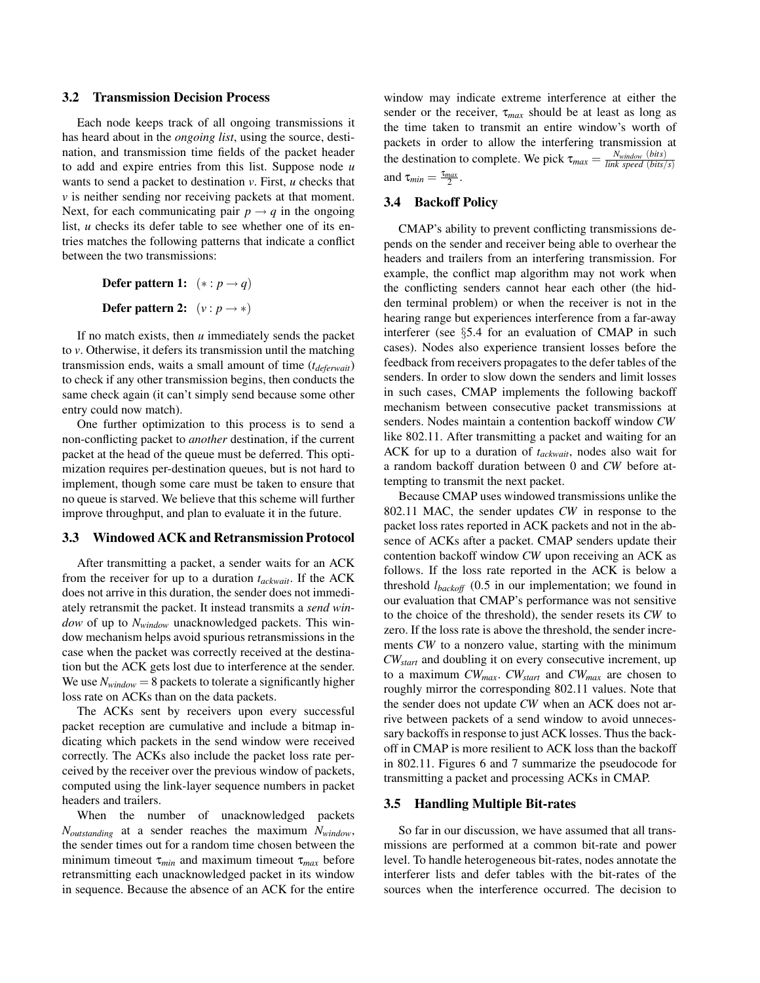#### 3.2 Transmission Decision Process

Each node keeps track of all ongoing transmissions it has heard about in the *ongoing list*, using the source, destination, and transmission time fields of the packet header to add and expire entries from this list. Suppose node *u* wants to send a packet to destination *v*. First, *u* checks that *v* is neither sending nor receiving packets at that moment. Next, for each communicating pair  $p \rightarrow q$  in the ongoing list, *u* checks its defer table to see whether one of its entries matches the following patterns that indicate a conflict between the two transmissions:

**Defer pattern 1:** 
$$
(* : p \rightarrow q)
$$
  
**Defer pattern 2:**  $(v : p \rightarrow *)$ 

If no match exists, then *u* immediately sends the packet to *v*. Otherwise, it defers its transmission until the matching transmission ends, waits a small amount of time (*tdeferwait*) to check if any other transmission begins, then conducts the same check again (it can't simply send because some other entry could now match).

One further optimization to this process is to send a non-conflicting packet to *another* destination, if the current packet at the head of the queue must be deferred. This optimization requires per-destination queues, but is not hard to implement, though some care must be taken to ensure that no queue is starved. We believe that this scheme will further improve throughput, and plan to evaluate it in the future.

### 3.3 Windowed ACK and Retransmission Protocol

After transmitting a packet, a sender waits for an ACK from the receiver for up to a duration *tackwait*. If the ACK does not arrive in this duration, the sender does not immediately retransmit the packet. It instead transmits a *send window* of up to *Nwindow* unacknowledged packets. This window mechanism helps avoid spurious retransmissions in the case when the packet was correctly received at the destination but the ACK gets lost due to interference at the sender. We use  $N_{window} = 8$  packets to tolerate a significantly higher loss rate on ACKs than on the data packets.

The ACKs sent by receivers upon every successful packet reception are cumulative and include a bitmap indicating which packets in the send window were received correctly. The ACKs also include the packet loss rate perceived by the receiver over the previous window of packets, computed using the link-layer sequence numbers in packet headers and trailers.

When the number of unacknowledged packets *Noutstanding* at a sender reaches the maximum *Nwindow*, the sender times out for a random time chosen between the minimum timeout τ*min* and maximum timeout τ*max* before retransmitting each unacknowledged packet in its window in sequence. Because the absence of an ACK for the entire

window may indicate extreme interference at either the sender or the receiver,  $\tau_{max}$  should be at least as long as the time taken to transmit an entire window's worth of packets in order to allow the interfering transmission at the destination to complete. We pick  $\tau_{max} = \frac{N_{window}}{link\ speed\ (bits/s)}$ and  $\tau_{min} = \frac{\tau_{max}}{2}$ .

### 3.4 Backoff Policy

CMAP's ability to prevent conflicting transmissions depends on the sender and receiver being able to overhear the headers and trailers from an interfering transmission. For example, the conflict map algorithm may not work when the conflicting senders cannot hear each other (the hidden terminal problem) or when the receiver is not in the hearing range but experiences interference from a far-away interferer (see §5.4 for an evaluation of CMAP in such cases). Nodes also experience transient losses before the feedback from receivers propagates to the defer tables of the senders. In order to slow down the senders and limit losses in such cases, CMAP implements the following backoff mechanism between consecutive packet transmissions at senders. Nodes maintain a contention backoff window *CW* like 802.11. After transmitting a packet and waiting for an ACK for up to a duration of *tackwait*, nodes also wait for a random backoff duration between 0 and *CW* before attempting to transmit the next packet.

Because CMAP uses windowed transmissions unlike the 802.11 MAC, the sender updates *CW* in response to the packet loss rates reported in ACK packets and not in the absence of ACKs after a packet. CMAP senders update their contention backoff window *CW* upon receiving an ACK as follows. If the loss rate reported in the ACK is below a threshold *lbackoff* (0.5 in our implementation; we found in our evaluation that CMAP's performance was not sensitive to the choice of the threshold), the sender resets its *CW* to zero. If the loss rate is above the threshold, the sender increments *CW* to a nonzero value, starting with the minimum *CWstart* and doubling it on every consecutive increment, up to a maximum *CWmax*. *CWstart* and *CWmax* are chosen to roughly mirror the corresponding 802.11 values. Note that the sender does not update *CW* when an ACK does not arrive between packets of a send window to avoid unnecessary backoffs in response to just ACK losses. Thus the backoff in CMAP is more resilient to ACK loss than the backoff in 802.11. Figures 6 and 7 summarize the pseudocode for transmitting a packet and processing ACKs in CMAP.

#### 3.5 Handling Multiple Bit-rates

So far in our discussion, we have assumed that all transmissions are performed at a common bit-rate and power level. To handle heterogeneous bit-rates, nodes annotate the interferer lists and defer tables with the bit-rates of the sources when the interference occurred. The decision to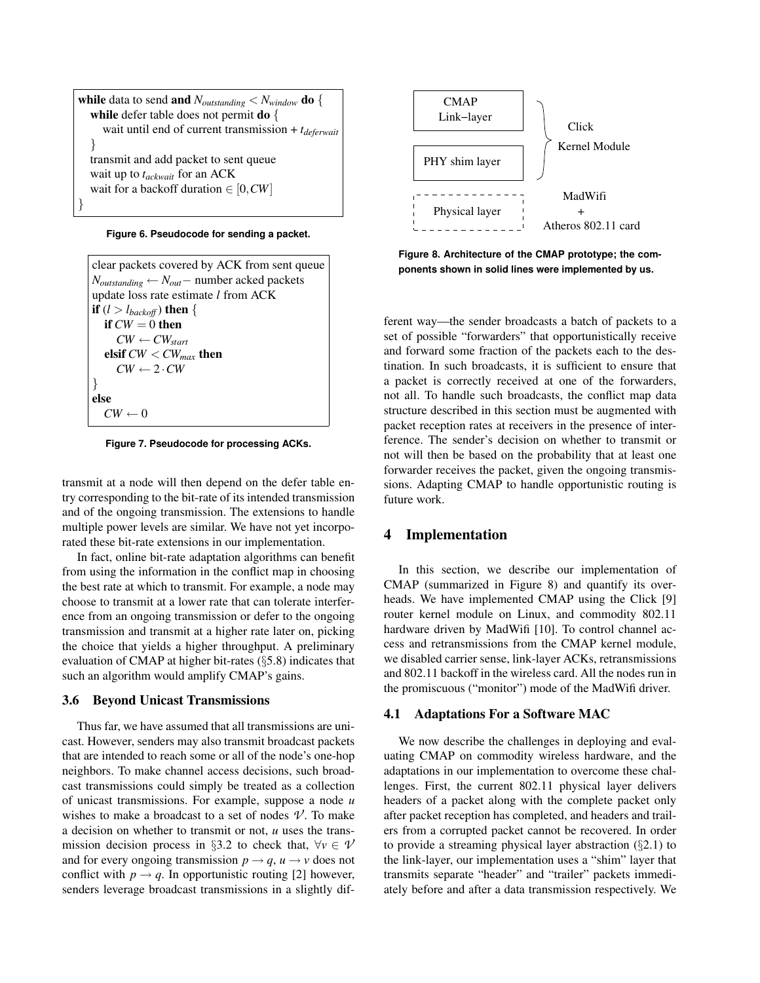**while** data to send **and**  $N_{outstanding} < N_{window}$  **do** { while defer table does not permit **do** { wait until end of current transmission + *tdeferwait* } transmit and add packet to sent queue wait up to *tackwait* for an ACK wait for a backoff duration ∈ [0,*CW*] }



clear packets covered by ACK from sent queue *Noutstanding* ← *Nout*− number acked packets update loss rate estimate *l* from ACK if  $(l > l_{backoff})$  then { if  $CW = 0$  then  $CW \leftarrow CW_{start}$ elsif *CW* < *CWmax* then  $CW \leftarrow 2 \cdot CW$ } else  $CW \leftarrow 0$ 

**Figure 7. Pseudocode for processing ACKs.**

transmit at a node will then depend on the defer table entry corresponding to the bit-rate of its intended transmission and of the ongoing transmission. The extensions to handle multiple power levels are similar. We have not yet incorporated these bit-rate extensions in our implementation.

In fact, online bit-rate adaptation algorithms can benefit from using the information in the conflict map in choosing the best rate at which to transmit. For example, a node may choose to transmit at a lower rate that can tolerate interference from an ongoing transmission or defer to the ongoing transmission and transmit at a higher rate later on, picking the choice that yields a higher throughput. A preliminary evaluation of CMAP at higher bit-rates (§5.8) indicates that such an algorithm would amplify CMAP's gains.

#### 3.6 Beyond Unicast Transmissions

Thus far, we have assumed that all transmissions are unicast. However, senders may also transmit broadcast packets that are intended to reach some or all of the node's one-hop neighbors. To make channel access decisions, such broadcast transmissions could simply be treated as a collection of unicast transmissions. For example, suppose a node *u* wishes to make a broadcast to a set of nodes  $\mathcal V$ . To make a decision on whether to transmit or not, *u* uses the transmission decision process in §3.2 to check that,  $\forall v \in \mathcal{V}$ and for every ongoing transmission  $p \rightarrow q$ ,  $u \rightarrow v$  does not conflict with  $p \rightarrow q$ . In opportunistic routing [2] however, senders leverage broadcast transmissions in a slightly dif-



**Figure 8. Architecture of the CMAP prototype; the components shown in solid lines were implemented by us.**

ferent way—the sender broadcasts a batch of packets to a set of possible "forwarders" that opportunistically receive and forward some fraction of the packets each to the destination. In such broadcasts, it is sufficient to ensure that a packet is correctly received at one of the forwarders, not all. To handle such broadcasts, the conflict map data structure described in this section must be augmented with packet reception rates at receivers in the presence of interference. The sender's decision on whether to transmit or not will then be based on the probability that at least one forwarder receives the packet, given the ongoing transmissions. Adapting CMAP to handle opportunistic routing is future work.

# 4 Implementation

In this section, we describe our implementation of CMAP (summarized in Figure 8) and quantify its overheads. We have implemented CMAP using the Click [9] router kernel module on Linux, and commodity 802.11 hardware driven by MadWifi [10]. To control channel access and retransmissions from the CMAP kernel module, we disabled carrier sense, link-layer ACKs, retransmissions and 802.11 backoff in the wireless card. All the nodes run in the promiscuous ("monitor") mode of the MadWifi driver.

#### 4.1 Adaptations For a Software MAC

We now describe the challenges in deploying and evaluating CMAP on commodity wireless hardware, and the adaptations in our implementation to overcome these challenges. First, the current 802.11 physical layer delivers headers of a packet along with the complete packet only after packet reception has completed, and headers and trailers from a corrupted packet cannot be recovered. In order to provide a streaming physical layer abstraction  $(\S 2.1)$  to the link-layer, our implementation uses a "shim" layer that transmits separate "header" and "trailer" packets immediately before and after a data transmission respectively. We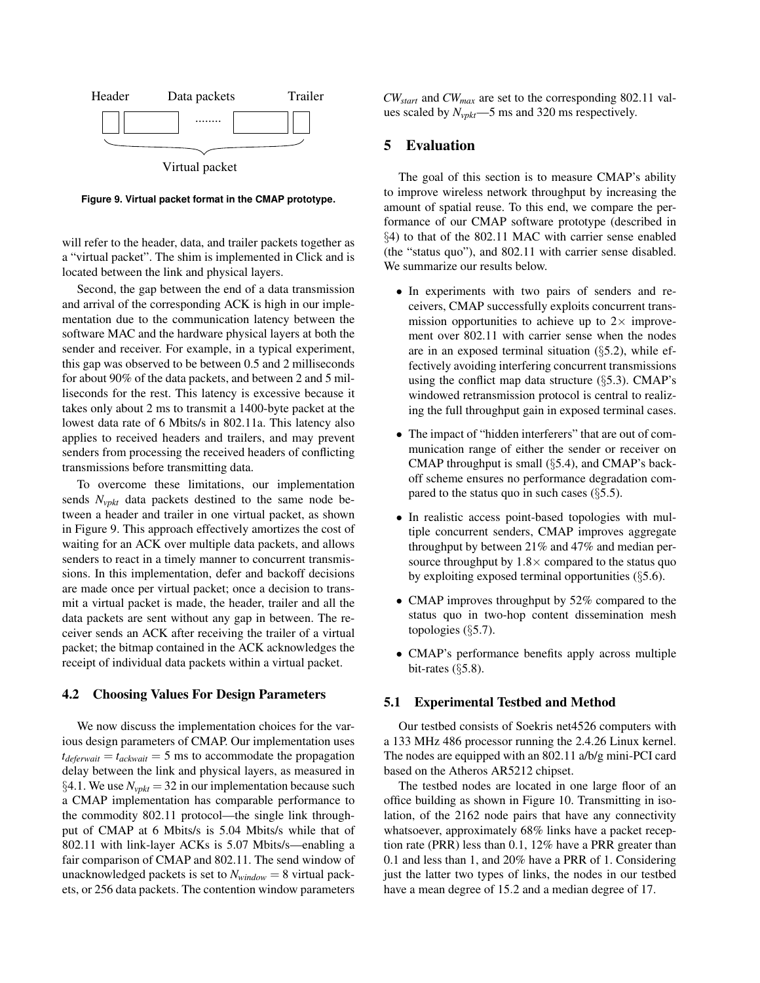

**Figure 9. Virtual packet format in the CMAP prototype.**

will refer to the header, data, and trailer packets together as a "virtual packet". The shim is implemented in Click and is located between the link and physical layers.

Second, the gap between the end of a data transmission and arrival of the corresponding ACK is high in our implementation due to the communication latency between the software MAC and the hardware physical layers at both the sender and receiver. For example, in a typical experiment, this gap was observed to be between 0.5 and 2 milliseconds for about 90% of the data packets, and between 2 and 5 milliseconds for the rest. This latency is excessive because it takes only about 2 ms to transmit a 1400-byte packet at the lowest data rate of 6 Mbits/s in 802.11a. This latency also applies to received headers and trailers, and may prevent senders from processing the received headers of conflicting transmissions before transmitting data.

To overcome these limitations, our implementation sends *Nvpkt* data packets destined to the same node between a header and trailer in one virtual packet, as shown in Figure 9. This approach effectively amortizes the cost of waiting for an ACK over multiple data packets, and allows senders to react in a timely manner to concurrent transmissions. In this implementation, defer and backoff decisions are made once per virtual packet; once a decision to transmit a virtual packet is made, the header, trailer and all the data packets are sent without any gap in between. The receiver sends an ACK after receiving the trailer of a virtual packet; the bitmap contained in the ACK acknowledges the receipt of individual data packets within a virtual packet.

## 4.2 Choosing Values For Design Parameters

We now discuss the implementation choices for the various design parameters of CMAP. Our implementation uses  $t_{deferwait} = t_{ackwait} = 5$  ms to accommodate the propagation delay between the link and physical layers, as measured in §4.1. We use  $N_{vpkt} = 32$  in our implementation because such a CMAP implementation has comparable performance to the commodity 802.11 protocol—the single link throughput of CMAP at 6 Mbits/s is 5.04 Mbits/s while that of 802.11 with link-layer ACKs is 5.07 Mbits/s—enabling a fair comparison of CMAP and 802.11. The send window of unacknowledged packets is set to  $N_{window} = 8$  virtual packets, or 256 data packets. The contention window parameters *CWstart* and *CWmax* are set to the corresponding 802.11 values scaled by *Nvpkt*—5 ms and 320 ms respectively.

# 5 Evaluation

The goal of this section is to measure CMAP's ability to improve wireless network throughput by increasing the amount of spatial reuse. To this end, we compare the performance of our CMAP software prototype (described in §4) to that of the 802.11 MAC with carrier sense enabled (the "status quo"), and 802.11 with carrier sense disabled. We summarize our results below.

- In experiments with two pairs of senders and receivers, CMAP successfully exploits concurrent transmission opportunities to achieve up to  $2 \times$  improvement over 802.11 with carrier sense when the nodes are in an exposed terminal situation (§5.2), while effectively avoiding interfering concurrent transmissions using the conflict map data structure  $(\S 5.3)$ . CMAP's windowed retransmission protocol is central to realizing the full throughput gain in exposed terminal cases.
- The impact of "hidden interferers" that are out of communication range of either the sender or receiver on CMAP throughput is small (§5.4), and CMAP's backoff scheme ensures no performance degradation compared to the status quo in such cases  $(\S 5.5)$ .
- In realistic access point-based topologies with multiple concurrent senders, CMAP improves aggregate throughput by between 21% and 47% and median persource throughput by  $1.8 \times$  compared to the status quo by exploiting exposed terminal opportunities  $(\S 5.6)$ .
- CMAP improves throughput by 52% compared to the status quo in two-hop content dissemination mesh topologies (§5.7).
- CMAP's performance benefits apply across multiple bit-rates  $(\S 5.8)$ .

## 5.1 Experimental Testbed and Method

Our testbed consists of Soekris net4526 computers with a 133 MHz 486 processor running the 2.4.26 Linux kernel. The nodes are equipped with an 802.11 a/b/g mini-PCI card based on the Atheros AR5212 chipset.

The testbed nodes are located in one large floor of an office building as shown in Figure 10. Transmitting in isolation, of the 2162 node pairs that have any connectivity whatsoever, approximately 68% links have a packet reception rate (PRR) less than 0.1, 12% have a PRR greater than 0.1 and less than 1, and 20% have a PRR of 1. Considering just the latter two types of links, the nodes in our testbed have a mean degree of 15.2 and a median degree of 17.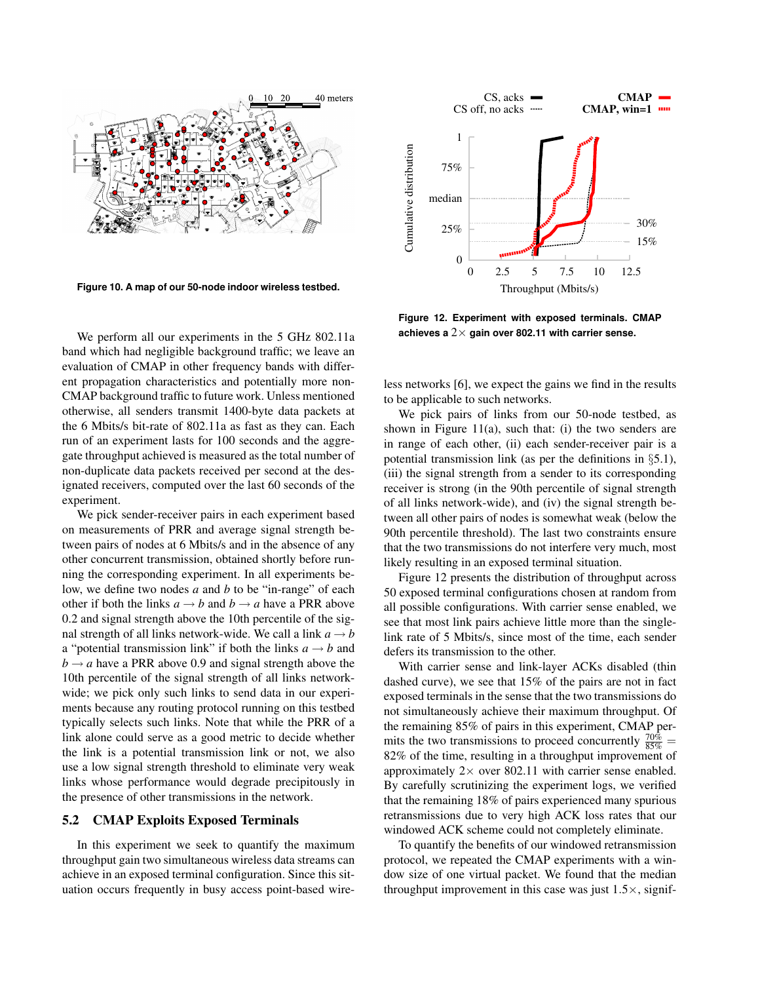

**Figure 10. A map of our 50-node indoor wireless testbed.**

We perform all our experiments in the 5 GHz 802.11a band which had negligible background traffic; we leave an evaluation of CMAP in other frequency bands with different propagation characteristics and potentially more non-CMAP background traffic to future work. Unless mentioned otherwise, all senders transmit 1400-byte data packets at the 6 Mbits/s bit-rate of 802.11a as fast as they can. Each run of an experiment lasts for 100 seconds and the aggregate throughput achieved is measured as the total number of non-duplicate data packets received per second at the designated receivers, computed over the last 60 seconds of the experiment.

We pick sender-receiver pairs in each experiment based on measurements of PRR and average signal strength between pairs of nodes at 6 Mbits/s and in the absence of any other concurrent transmission, obtained shortly before running the corresponding experiment. In all experiments below, we define two nodes *a* and *b* to be "in-range" of each other if both the links  $a \rightarrow b$  and  $b \rightarrow a$  have a PRR above 0.2 and signal strength above the 10th percentile of the signal strength of all links network-wide. We call a link  $a \rightarrow b$ a "potential transmission link" if both the links  $a \rightarrow b$  and  $b \rightarrow a$  have a PRR above 0.9 and signal strength above the 10th percentile of the signal strength of all links networkwide; we pick only such links to send data in our experiments because any routing protocol running on this testbed typically selects such links. Note that while the PRR of a link alone could serve as a good metric to decide whether the link is a potential transmission link or not, we also use a low signal strength threshold to eliminate very weak links whose performance would degrade precipitously in the presence of other transmissions in the network.

### 5.2 CMAP Exploits Exposed Terminals

In this experiment we seek to quantify the maximum throughput gain two simultaneous wireless data streams can achieve in an exposed terminal configuration. Since this situation occurs frequently in busy access point-based wire-



**Figure 12. Experiment with exposed terminals. CMAP achieves a** 2× **gain over 802.11 with carrier sense.**

less networks [6], we expect the gains we find in the results to be applicable to such networks.

We pick pairs of links from our 50-node testbed, as shown in Figure  $11(a)$ , such that: (i) the two senders are in range of each other, (ii) each sender-receiver pair is a potential transmission link (as per the definitions in  $\S 5.1$ ), (iii) the signal strength from a sender to its corresponding receiver is strong (in the 90th percentile of signal strength of all links network-wide), and (iv) the signal strength between all other pairs of nodes is somewhat weak (below the 90th percentile threshold). The last two constraints ensure that the two transmissions do not interfere very much, most likely resulting in an exposed terminal situation.

Figure 12 presents the distribution of throughput across 50 exposed terminal configurations chosen at random from all possible configurations. With carrier sense enabled, we see that most link pairs achieve little more than the singlelink rate of 5 Mbits/s, since most of the time, each sender defers its transmission to the other.

With carrier sense and link-layer ACKs disabled (thin dashed curve), we see that 15% of the pairs are not in fact exposed terminals in the sense that the two transmissions do not simultaneously achieve their maximum throughput. Of the remaining 85% of pairs in this experiment, CMAP permits the two transmissions to proceed concurrently  $\frac{70\%}{85\%}$  = 82% of the time, resulting in a throughput improvement of approximately  $2 \times$  over 802.11 with carrier sense enabled. By carefully scrutinizing the experiment logs, we verified that the remaining 18% of pairs experienced many spurious retransmissions due to very high ACK loss rates that our windowed ACK scheme could not completely eliminate.

To quantify the benefits of our windowed retransmission protocol, we repeated the CMAP experiments with a window size of one virtual packet. We found that the median throughput improvement in this case was just  $1.5 \times$ , signif-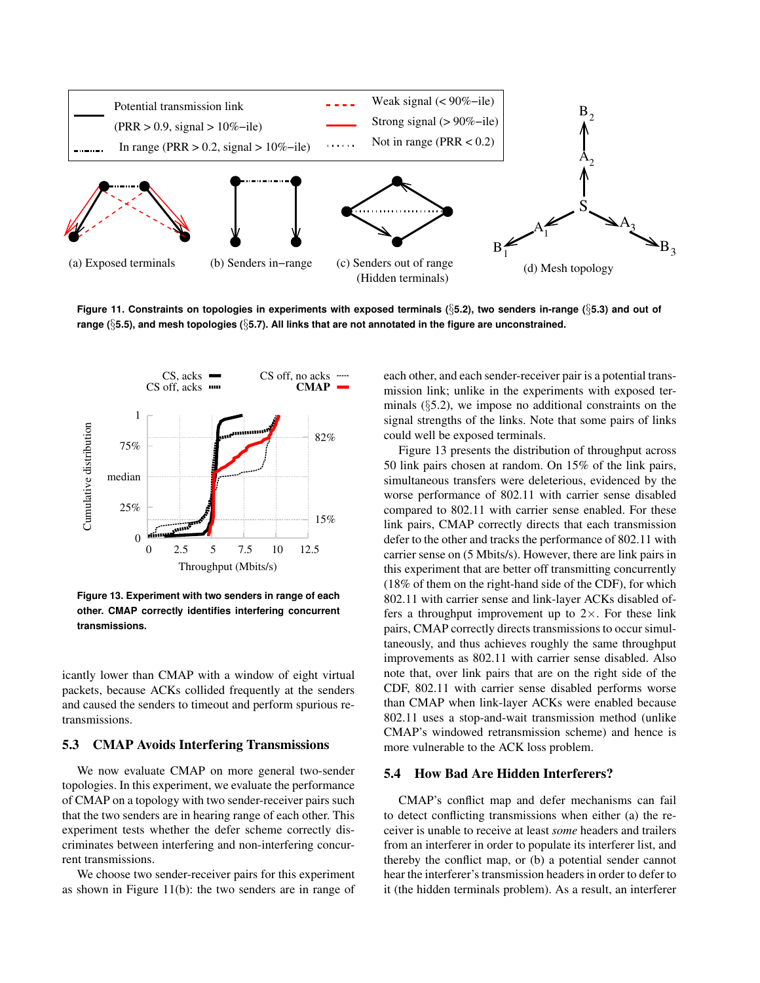

**Figure 11. Constraints on topologies in experiments with exposed terminals (**§**5.2), two senders in-range (**§**5.3) and out of range (**§**5.5), and mesh topologies (**§**5.7). All links that are not annotated in the figure are unconstrained.**



**Figure 13. Experiment with two senders in range of each other. CMAP correctly identifies interfering concurrent transmissions.**

icantly lower than CMAP with a window of eight virtual packets, because ACKs collided frequently at the senders and caused the senders to timeout and perform spurious retransmissions.

## 5.3 CMAP Avoids Interfering Transmissions

We now evaluate CMAP on more general two-sender topologies. In this experiment, we evaluate the performance of CMAP on a topology with two sender-receiver pairs such that the two senders are in hearing range of each other. This experiment tests whether the defer scheme correctly discriminates between interfering and non-interfering concurrent transmissions.

We choose two sender-receiver pairs for this experiment as shown in Figure 11(b): the two senders are in range of each other, and each sender-receiver pair is a potential transmission link; unlike in the experiments with exposed terminals (§5.2), we impose no additional constraints on the signal strengths of the links. Note that some pairs of links could well be exposed terminals.

Figure 13 presents the distribution of throughput across 50 link pairs chosen at random. On 15% of the link pairs, simultaneous transfers were deleterious, evidenced by the worse performance of 802.11 with carrier sense disabled compared to 802.11 with carrier sense enabled. For these link pairs, CMAP correctly directs that each transmission defer to the other and tracks the performance of 802.11 with carrier sense on (5 Mbits/s). However, there are link pairs in this experiment that are better off transmitting concurrently (18% of them on the right-hand side of the CDF), for which 802.11 with carrier sense and link-layer ACKs disabled offers a throughput improvement up to  $2\times$ . For these link pairs, CMAP correctly directs transmissions to occur simultaneously, and thus achieves roughly the same throughput improvements as 802.11 with carrier sense disabled. Also note that, over link pairs that are on the right side of the CDF, 802.11 with carrier sense disabled performs worse than CMAP when link-layer ACKs were enabled because 802.11 uses a stop-and-wait transmission method (unlike CMAP's windowed retransmission scheme) and hence is more vulnerable to the ACK loss problem.

#### 5.4 How Bad Are Hidden Interferers?

CMAP's conflict map and defer mechanisms can fail to detect conflicting transmissions when either (a) the receiver is unable to receive at least *some* headers and trailers from an interferer in order to populate its interferer list, and thereby the conflict map, or (b) a potential sender cannot hear the interferer's transmission headers in order to defer to it (the hidden terminals problem). As a result, an interferer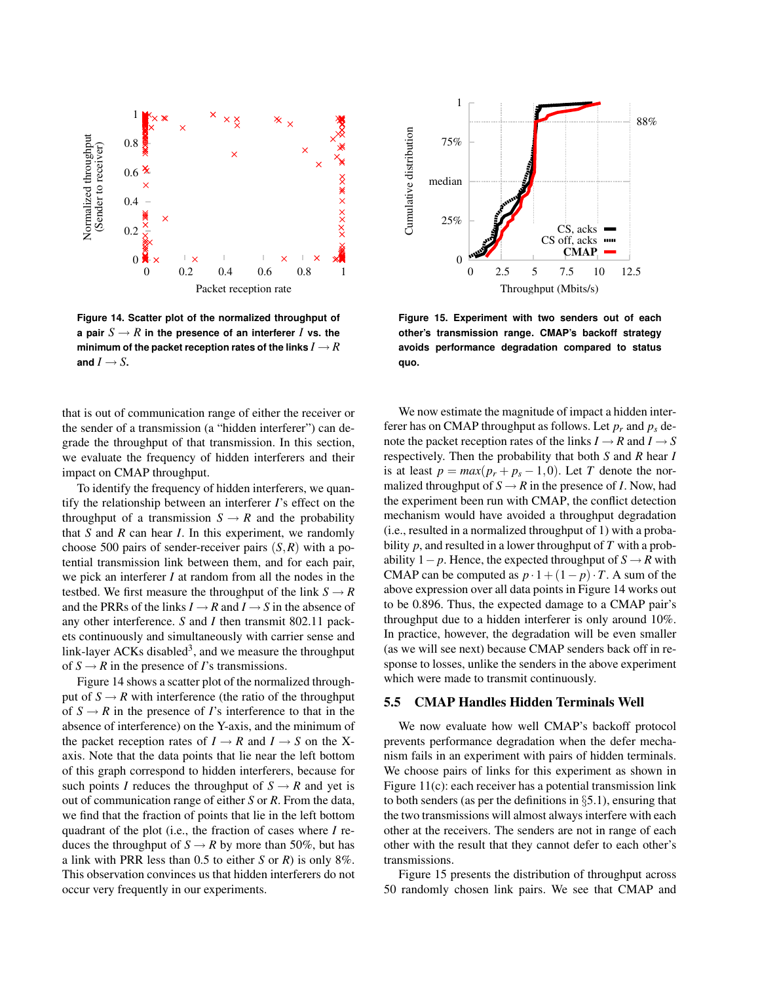

**Figure 14. Scatter plot of the normalized throughput of a pair**  $S \to R$  in the presence of an interferer *I* vs. the **minimum of the packet reception rates of the links**  $I \rightarrow R$ and  $I \rightarrow S$ **.** 

that is out of communication range of either the receiver or the sender of a transmission (a "hidden interferer") can degrade the throughput of that transmission. In this section, we evaluate the frequency of hidden interferers and their impact on CMAP throughput.

To identify the frequency of hidden interferers, we quantify the relationship between an interferer *I*'s effect on the throughput of a transmission  $S \rightarrow R$  and the probability that *S* and *R* can hear *I*. In this experiment, we randomly choose 500 pairs of sender-receiver pairs (*S*,*R*) with a potential transmission link between them, and for each pair, we pick an interferer *I* at random from all the nodes in the testbed. We first measure the throughput of the link  $S \rightarrow R$ and the PRRs of the links  $I \rightarrow R$  and  $I \rightarrow S$  in the absence of any other interference. *S* and *I* then transmit 802.11 packets continuously and simultaneously with carrier sense and link-layer ACKs disabled<sup>3</sup>, and we measure the throughput of  $S \rightarrow R$  in the presence of *I*'s transmissions.

Figure 14 shows a scatter plot of the normalized throughput of  $S \rightarrow R$  with interference (the ratio of the throughput of  $S \rightarrow R$  in the presence of *I*'s interference to that in the absence of interference) on the Y-axis, and the minimum of the packet reception rates of  $I \rightarrow R$  and  $I \rightarrow S$  on the Xaxis. Note that the data points that lie near the left bottom of this graph correspond to hidden interferers, because for such points *I* reduces the throughput of  $S \rightarrow R$  and yet is out of communication range of either *S* or *R*. From the data, we find that the fraction of points that lie in the left bottom quadrant of the plot (i.e., the fraction of cases where *I* reduces the throughput of  $S \rightarrow R$  by more than 50%, but has a link with PRR less than 0.5 to either *S* or *R*) is only 8%. This observation convinces us that hidden interferers do not occur very frequently in our experiments.



**Figure 15. Experiment with two senders out of each other's transmission range. CMAP's backoff strategy avoids performance degradation compared to status quo.**

We now estimate the magnitude of impact a hidden interferer has on CMAP throughput as follows. Let  $p_r$  and  $p_s$  denote the packet reception rates of the links  $I \rightarrow R$  and  $I \rightarrow S$ respectively. Then the probability that both *S* and *R* hear *I* is at least  $p = max(p_r + p_s - 1, 0)$ . Let *T* denote the normalized throughput of  $S \rightarrow R$  in the presence of *I*. Now, had the experiment been run with CMAP, the conflict detection mechanism would have avoided a throughput degradation (i.e., resulted in a normalized throughput of 1) with a probability *p*, and resulted in a lower throughput of *T* with a probability  $1-p$ . Hence, the expected throughput of  $S \rightarrow R$  with CMAP can be computed as  $p \cdot 1 + (1 - p) \cdot T$ . A sum of the above expression over all data points in Figure 14 works out to be 0.896. Thus, the expected damage to a CMAP pair's throughput due to a hidden interferer is only around 10%. In practice, however, the degradation will be even smaller (as we will see next) because CMAP senders back off in response to losses, unlike the senders in the above experiment which were made to transmit continuously.

### 5.5 CMAP Handles Hidden Terminals Well

We now evaluate how well CMAP's backoff protocol prevents performance degradation when the defer mechanism fails in an experiment with pairs of hidden terminals. We choose pairs of links for this experiment as shown in Figure 11(c): each receiver has a potential transmission link to both senders (as per the definitions in  $\S$ 5.1), ensuring that the two transmissions will almost always interfere with each other at the receivers. The senders are not in range of each other with the result that they cannot defer to each other's transmissions.

Figure 15 presents the distribution of throughput across 50 randomly chosen link pairs. We see that CMAP and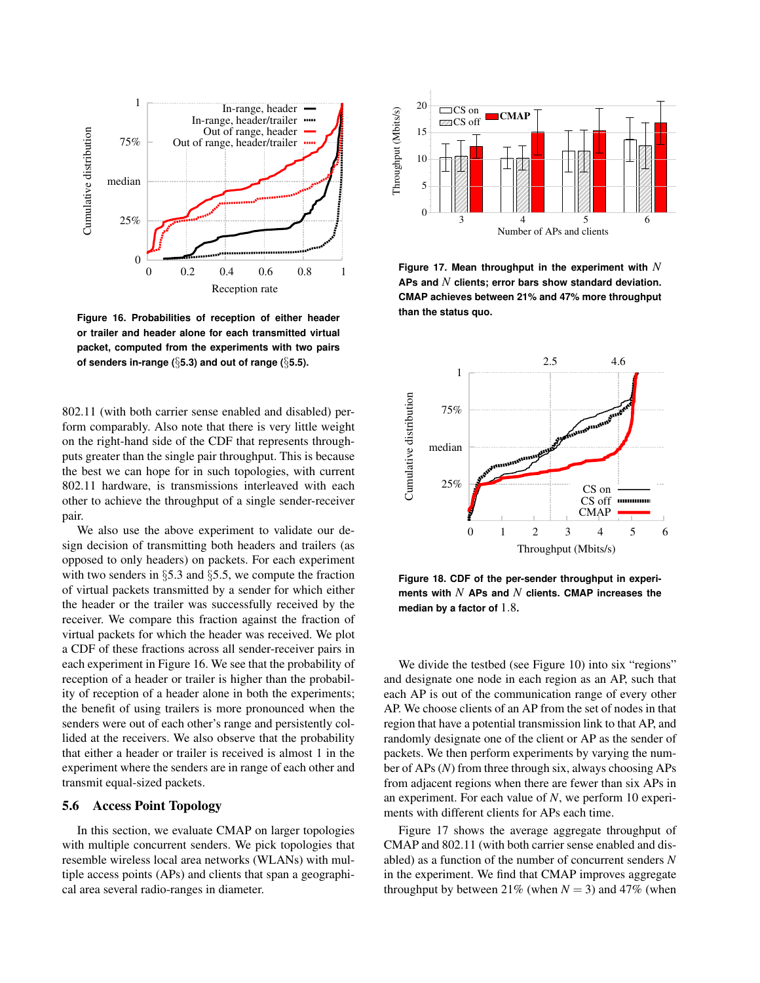

**Figure 16. Probabilities of reception of either header or trailer and header alone for each transmitted virtual packet, computed from the experiments with two pairs of senders in-range (**§**5.3) and out of range (**§**5.5).**

802.11 (with both carrier sense enabled and disabled) perform comparably. Also note that there is very little weight on the right-hand side of the CDF that represents throughputs greater than the single pair throughput. This is because the best we can hope for in such topologies, with current 802.11 hardware, is transmissions interleaved with each other to achieve the throughput of a single sender-receiver pair.

We also use the above experiment to validate our design decision of transmitting both headers and trailers (as opposed to only headers) on packets. For each experiment with two senders in §5.3 and §5.5, we compute the fraction of virtual packets transmitted by a sender for which either the header or the trailer was successfully received by the receiver. We compare this fraction against the fraction of virtual packets for which the header was received. We plot a CDF of these fractions across all sender-receiver pairs in each experiment in Figure 16. We see that the probability of reception of a header or trailer is higher than the probability of reception of a header alone in both the experiments; the benefit of using trailers is more pronounced when the senders were out of each other's range and persistently collided at the receivers. We also observe that the probability that either a header or trailer is received is almost 1 in the experiment where the senders are in range of each other and transmit equal-sized packets.

### 5.6 Access Point Topology

In this section, we evaluate CMAP on larger topologies with multiple concurrent senders. We pick topologies that resemble wireless local area networks (WLANs) with multiple access points (APs) and clients that span a geographical area several radio-ranges in diameter.



**Figure 17. Mean throughput in the experiment with** *N* **APs and** *N* **clients; error bars show standard deviation. CMAP achieves between 21% and 47% more throughput than the status quo.**



**Figure 18. CDF of the per-sender throughput in experiments with** *N* **APs and** *N* **clients. CMAP increases the median by a factor of** 1.8**.**

We divide the testbed (see Figure 10) into six "regions" and designate one node in each region as an AP, such that each AP is out of the communication range of every other AP. We choose clients of an AP from the set of nodes in that region that have a potential transmission link to that AP, and randomly designate one of the client or AP as the sender of packets. We then perform experiments by varying the number of APs (*N*) from three through six, always choosing APs from adjacent regions when there are fewer than six APs in an experiment. For each value of *N*, we perform 10 experiments with different clients for APs each time.

Figure 17 shows the average aggregate throughput of CMAP and 802.11 (with both carrier sense enabled and disabled) as a function of the number of concurrent senders *N* in the experiment. We find that CMAP improves aggregate throughput by between 21% (when  $N = 3$ ) and 47% (when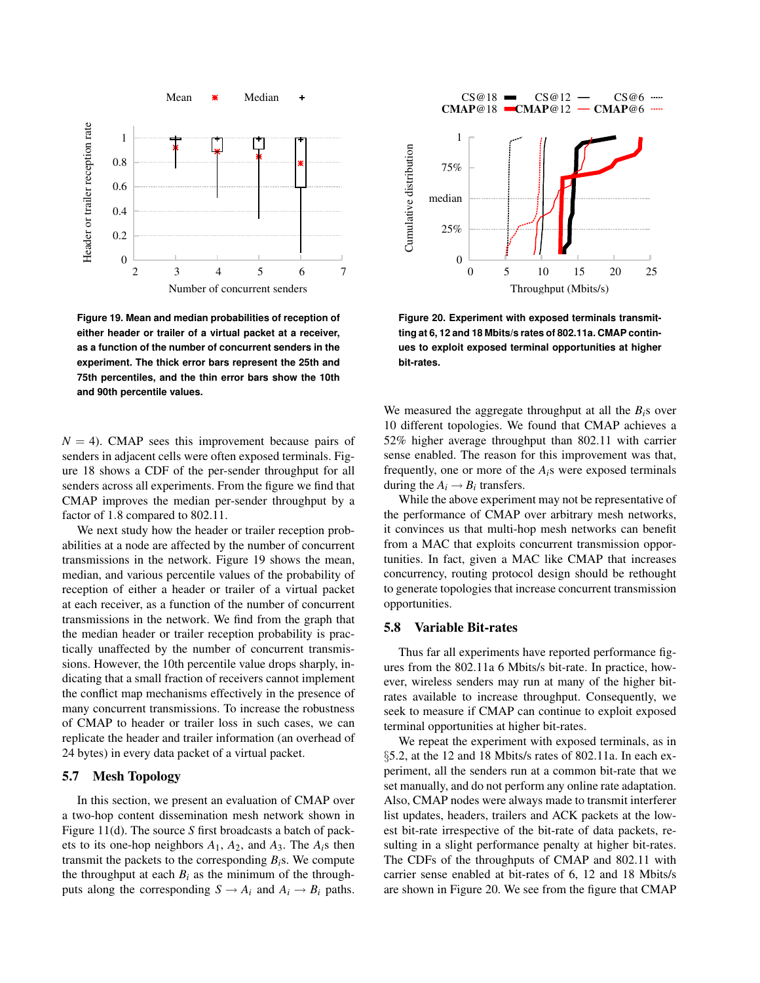

**Figure 19. Mean and median probabilities of reception of either header or trailer of a virtual packet at a receiver, as a function of the number of concurrent senders in the experiment. The thick error bars represent the 25th and 75th percentiles, and the thin error bars show the 10th and 90th percentile values.**

 $N = 4$ ). CMAP sees this improvement because pairs of senders in adjacent cells were often exposed terminals. Figure 18 shows a CDF of the per-sender throughput for all senders across all experiments. From the figure we find that CMAP improves the median per-sender throughput by a factor of 1.8 compared to 802.11.

We next study how the header or trailer reception probabilities at a node are affected by the number of concurrent transmissions in the network. Figure 19 shows the mean, median, and various percentile values of the probability of reception of either a header or trailer of a virtual packet at each receiver, as a function of the number of concurrent transmissions in the network. We find from the graph that the median header or trailer reception probability is practically unaffected by the number of concurrent transmissions. However, the 10th percentile value drops sharply, indicating that a small fraction of receivers cannot implement the conflict map mechanisms effectively in the presence of many concurrent transmissions. To increase the robustness of CMAP to header or trailer loss in such cases, we can replicate the header and trailer information (an overhead of 24 bytes) in every data packet of a virtual packet.

## 5.7 Mesh Topology

In this section, we present an evaluation of CMAP over a two-hop content dissemination mesh network shown in Figure 11(d). The source *S* first broadcasts a batch of packets to its one-hop neighbors  $A_1$ ,  $A_2$ , and  $A_3$ . The  $A_i$ s then transmit the packets to the corresponding  $B_i$ s. We compute the throughput at each  $B_i$  as the minimum of the throughputs along the corresponding  $S \rightarrow A_i$  and  $A_i \rightarrow B_i$  paths.



**Figure 20. Experiment with exposed terminals transmitting at 6, 12 and 18 Mbits/s rates of 802.11a. CMAP continues to exploit exposed terminal opportunities at higher bit-rates.**

We measured the aggregate throughput at all the *Bi*s over 10 different topologies. We found that CMAP achieves a 52% higher average throughput than 802.11 with carrier sense enabled. The reason for this improvement was that, frequently, one or more of the  $A_i$ <sup>s</sup> were exposed terminals during the  $A_i \rightarrow B_i$  transfers.

While the above experiment may not be representative of the performance of CMAP over arbitrary mesh networks, it convinces us that multi-hop mesh networks can benefit from a MAC that exploits concurrent transmission opportunities. In fact, given a MAC like CMAP that increases concurrency, routing protocol design should be rethought to generate topologies that increase concurrent transmission opportunities.

## 5.8 Variable Bit-rates

Thus far all experiments have reported performance figures from the 802.11a 6 Mbits/s bit-rate. In practice, however, wireless senders may run at many of the higher bitrates available to increase throughput. Consequently, we seek to measure if CMAP can continue to exploit exposed terminal opportunities at higher bit-rates.

We repeat the experiment with exposed terminals, as in §5.2, at the 12 and 18 Mbits/s rates of 802.11a. In each experiment, all the senders run at a common bit-rate that we set manually, and do not perform any online rate adaptation. Also, CMAP nodes were always made to transmit interferer list updates, headers, trailers and ACK packets at the lowest bit-rate irrespective of the bit-rate of data packets, resulting in a slight performance penalty at higher bit-rates. The CDFs of the throughputs of CMAP and 802.11 with carrier sense enabled at bit-rates of 6, 12 and 18 Mbits/s are shown in Figure 20. We see from the figure that CMAP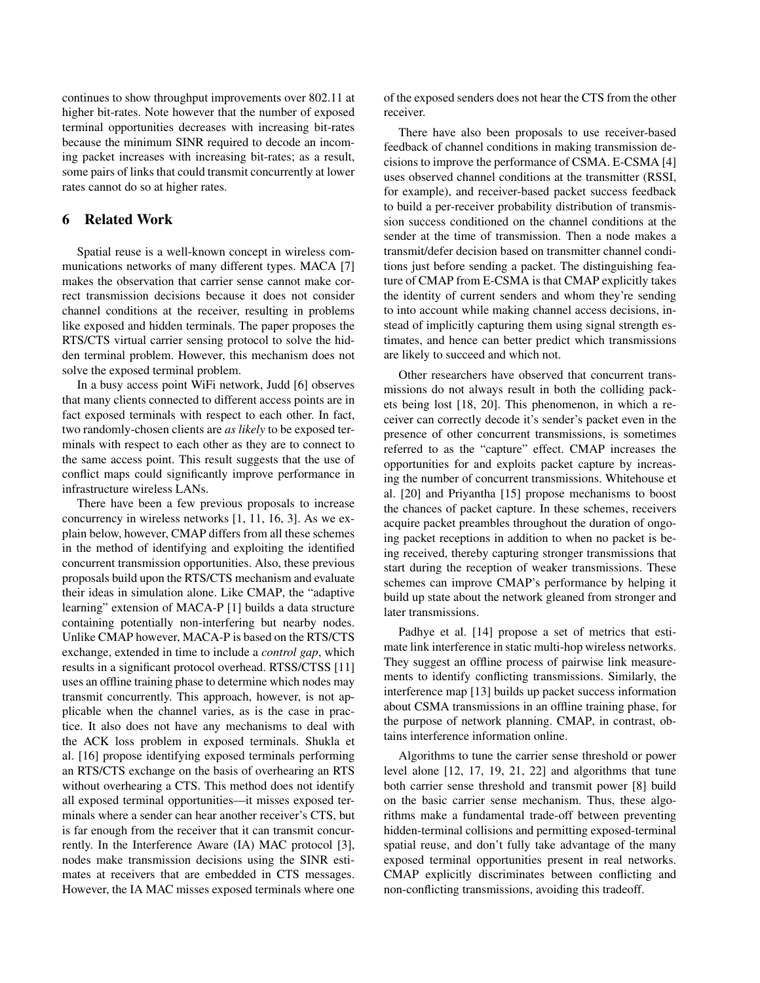continues to show throughput improvements over 802.11 at higher bit-rates. Note however that the number of exposed terminal opportunities decreases with increasing bit-rates because the minimum SINR required to decode an incoming packet increases with increasing bit-rates; as a result, some pairs of links that could transmit concurrently at lower rates cannot do so at higher rates.

## 6 Related Work

Spatial reuse is a well-known concept in wireless communications networks of many different types. MACA [7] makes the observation that carrier sense cannot make correct transmission decisions because it does not consider channel conditions at the receiver, resulting in problems like exposed and hidden terminals. The paper proposes the RTS/CTS virtual carrier sensing protocol to solve the hidden terminal problem. However, this mechanism does not solve the exposed terminal problem.

In a busy access point WiFi network, Judd [6] observes that many clients connected to different access points are in fact exposed terminals with respect to each other. In fact, two randomly-chosen clients are *as likely* to be exposed terminals with respect to each other as they are to connect to the same access point. This result suggests that the use of conflict maps could significantly improve performance in infrastructure wireless LANs.

There have been a few previous proposals to increase concurrency in wireless networks [1, 11, 16, 3]. As we explain below, however, CMAP differs from all these schemes in the method of identifying and exploiting the identified concurrent transmission opportunities. Also, these previous proposals build upon the RTS/CTS mechanism and evaluate their ideas in simulation alone. Like CMAP, the "adaptive learning" extension of MACA-P [1] builds a data structure containing potentially non-interfering but nearby nodes. Unlike CMAP however, MACA-P is based on the RTS/CTS exchange, extended in time to include a *control gap*, which results in a significant protocol overhead. RTSS/CTSS [11] uses an offline training phase to determine which nodes may transmit concurrently. This approach, however, is not applicable when the channel varies, as is the case in practice. It also does not have any mechanisms to deal with the ACK loss problem in exposed terminals. Shukla et al. [16] propose identifying exposed terminals performing an RTS/CTS exchange on the basis of overhearing an RTS without overhearing a CTS. This method does not identify all exposed terminal opportunities—it misses exposed terminals where a sender can hear another receiver's CTS, but is far enough from the receiver that it can transmit concurrently. In the Interference Aware (IA) MAC protocol [3], nodes make transmission decisions using the SINR estimates at receivers that are embedded in CTS messages. However, the IA MAC misses exposed terminals where one of the exposed senders does not hear the CTS from the other receiver.

There have also been proposals to use receiver-based feedback of channel conditions in making transmission decisions to improve the performance of CSMA. E-CSMA [4] uses observed channel conditions at the transmitter (RSSI, for example), and receiver-based packet success feedback to build a per-receiver probability distribution of transmission success conditioned on the channel conditions at the sender at the time of transmission. Then a node makes a transmit/defer decision based on transmitter channel conditions just before sending a packet. The distinguishing feature of CMAP from E-CSMA is that CMAP explicitly takes the identity of current senders and whom they're sending to into account while making channel access decisions, instead of implicitly capturing them using signal strength estimates, and hence can better predict which transmissions are likely to succeed and which not.

Other researchers have observed that concurrent transmissions do not always result in both the colliding packets being lost [18, 20]. This phenomenon, in which a receiver can correctly decode it's sender's packet even in the presence of other concurrent transmissions, is sometimes referred to as the "capture" effect. CMAP increases the opportunities for and exploits packet capture by increasing the number of concurrent transmissions. Whitehouse et al. [20] and Priyantha [15] propose mechanisms to boost the chances of packet capture. In these schemes, receivers acquire packet preambles throughout the duration of ongoing packet receptions in addition to when no packet is being received, thereby capturing stronger transmissions that start during the reception of weaker transmissions. These schemes can improve CMAP's performance by helping it build up state about the network gleaned from stronger and later transmissions.

Padhye et al. [14] propose a set of metrics that estimate link interference in static multi-hop wireless networks. They suggest an offline process of pairwise link measurements to identify conflicting transmissions. Similarly, the interference map [13] builds up packet success information about CSMA transmissions in an offline training phase, for the purpose of network planning. CMAP, in contrast, obtains interference information online.

Algorithms to tune the carrier sense threshold or power level alone [12, 17, 19, 21, 22] and algorithms that tune both carrier sense threshold and transmit power [8] build on the basic carrier sense mechanism. Thus, these algorithms make a fundamental trade-off between preventing hidden-terminal collisions and permitting exposed-terminal spatial reuse, and don't fully take advantage of the many exposed terminal opportunities present in real networks. CMAP explicitly discriminates between conflicting and non-conflicting transmissions, avoiding this tradeoff.